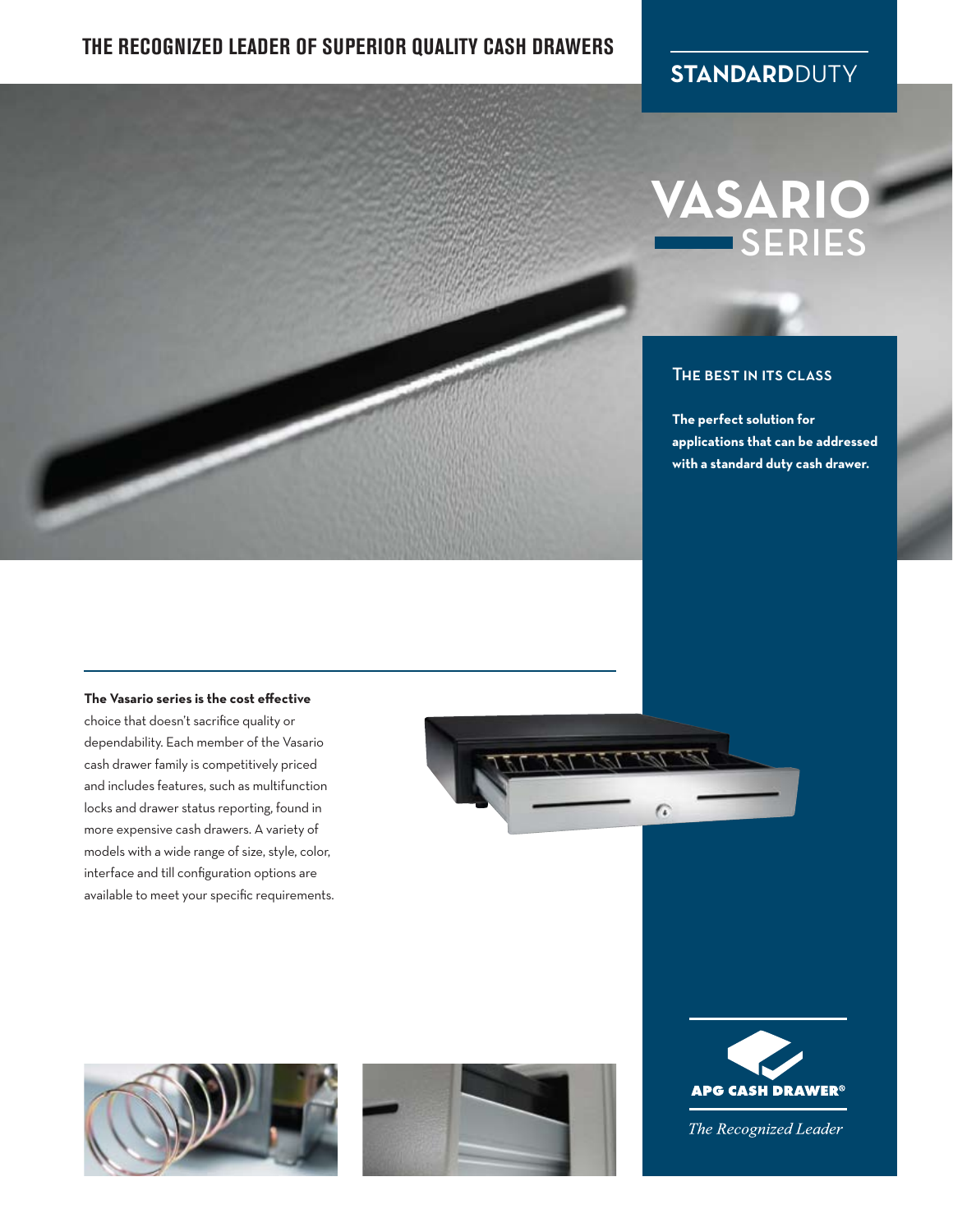### **THE RECOGNIZED LEADER OF SUPERIOR QUALITY CASH DRAWERS**

### **STANDARD**DUTY

## **VASARIO** SERIES

#### The best in its class

**The perfect solution for applications that can be addressed with a standard duty cash drawer.**

#### **The Vasario series is the cost effective**

choice that doesn't sacrifice quality or dependability. Each member of the Vasario cash drawer family is competitively priced and includes features, such as multifunction locks and drawer status reporting, found in more expensive cash drawers. A variety of models with a wide range of size, style, color, interface and till configuration options are available to meet your specific requirements.









The Recognized Leader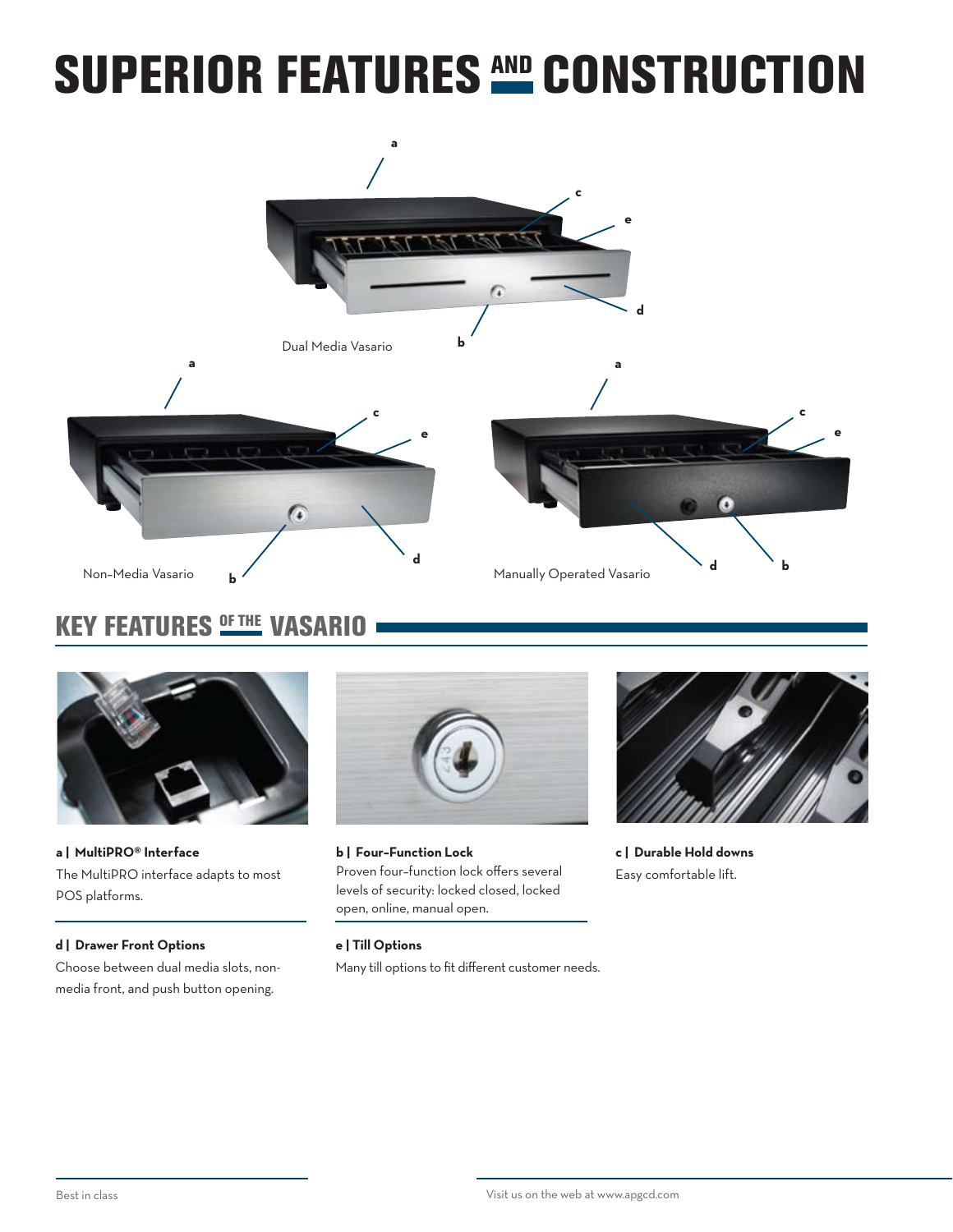## SUPERIOR FEATURES AND CONSTRUCTION



## KEY FEATURES **OF THE VASARIO**



**a | MultiPRO® Interface** The MultiPRO interface adapts to most POS platforms.

#### **d | Drawer Front Options**

Choose between dual media slots, nonmedia front, and push button opening.



**b | Four–Function Lock** Proven four–function lock offers several levels of security: locked closed, locked open, online, manual open.



**c | Durable Hold downs** Easy comfortable lift.

#### **e | Till Options**

Many till options to fit different customer needs.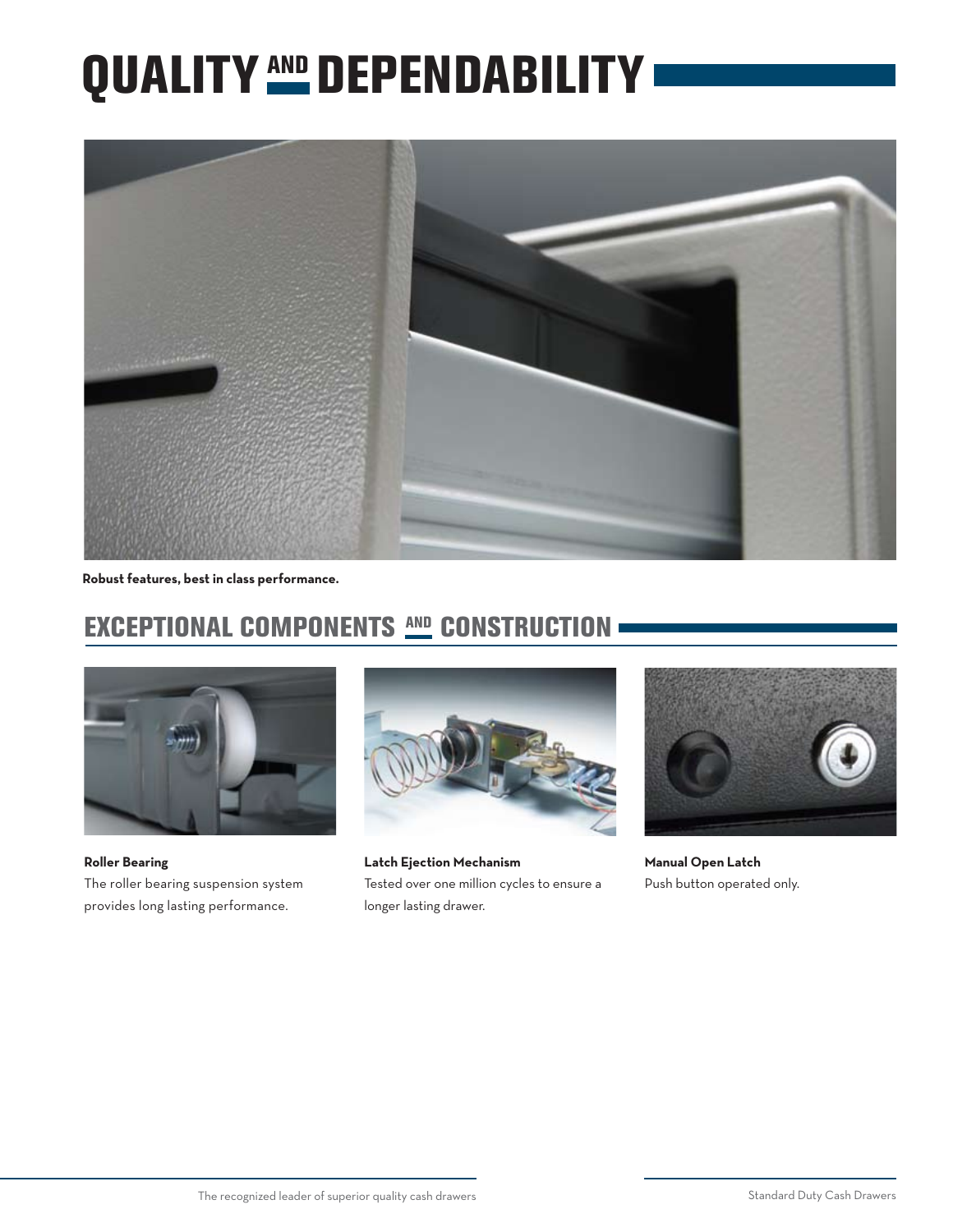# QUALITY AND DEPENDABILITY



**Robust features, best in class performance.**

## EXCEPTIONAL COMPONENTS AND CONSTRUCTION



**Roller Bearing** The roller bearing suspension system provides long lasting performance.



**Latch Ejection Mechanism** Tested over one million cycles to ensure a longer lasting drawer.



**Manual Open Latch** Push button operated only.